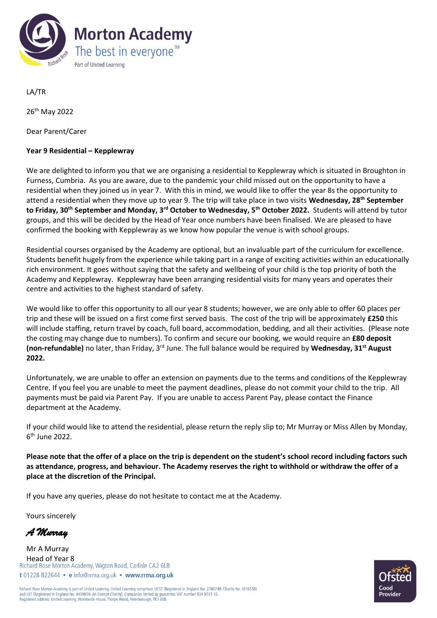

LA/TR

26th May 2022

Dear Parent/Carer

## **Year 9 Residential – Kepplewray**

We are delighted to inform you that we are organising a residential to Kepplewray which is situated in Broughton in Furness, Cumbria. As you are aware, due to the pandemic your child missed out on the opportunity to have a residential when they joined us in year 7. With this in mind, we would like to offer the year 8s the opportunity to attend a residential when they move up to year 9. The trip will take place in two visits **Wednesday, 28th September to Friday, 30th September and Monday, 3rd October to Wednesday, 5th October 2022.** Students will attend by tutor groups, and this will be decided by the Head of Year once numbers have been finalised. We are pleased to have confirmed the booking with Kepplewray as we know how popular the venue is with school groups.

Residential courses organised by the Academy are optional, but an invaluable part of the curriculum for excellence. Students benefit hugely from the experience while taking part in a range of exciting activities within an educationally rich environment. It goes without saying that the safety and wellbeing of your child is the top priority of both the Academy and Kepplewray. Kepplewray have been arranging residential visits for many years and operates their centre and activities to the highest standard of safety.

We would like to offer this opportunity to all our year 8 students; however, we are only able to offer 60 places per trip and these will be issued on a first come first served basis. The cost of the trip will be approximately **£250** this will include staffing, return travel by coach, full board, accommodation, bedding, and all their activities. (Please note the costing may change due to numbers). To confirm and secure our booking, we would require an **£80 deposit (non-refundable)** no later, than Friday, 3rd June. The full balance would be required by **Wednesday, 31st August 2022.**

Unfortunately, we are unable to offer an extension on payments due to the terms and conditions of the Kepplewray Centre. If you feel you are unable to meet the payment deadlines, please do not commit your child to the trip. All payments must be paid via Parent Pay. If you are unable to access Parent Pay, please contact the Finance department at the Academy.

If your child would like to attend the residential, please return the reply slip to; Mr Murray or Miss Allen by Monday, 6 th June 2022.

**Please note that the offer of a place on the trip is dependent on the student's school record including factors such as attendance, progress, and behaviour. The Academy reserves the right to withhold or withdraw the offer of a place at the discretion of the Principal.**

If you have any queries, please do not hesitate to contact me at the Academy.

Yours sincerely

*A Murray* 

Mr A Murray Head of Year 8<br>Richard Rose Morton Academy, Wigton Road, Carlisle CA2 6LB t 01228 822644 · e info@rrma.org.uk · www.rrma.org.uk